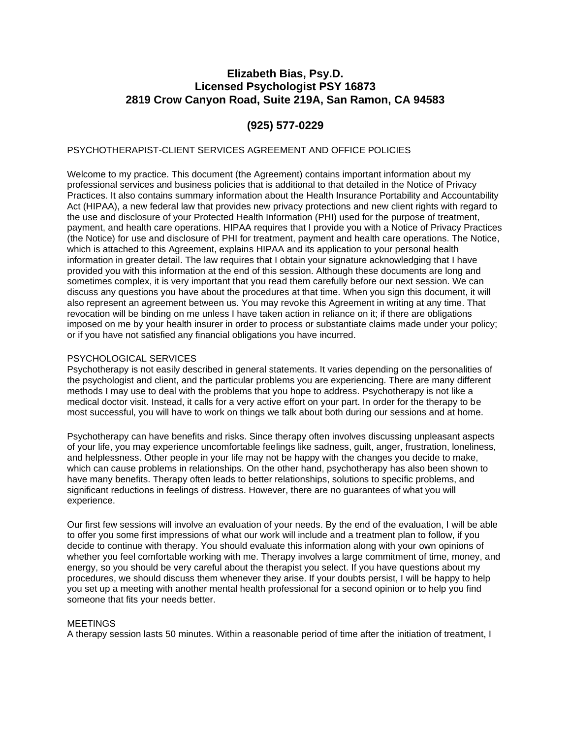## **Elizabeth Bias, Psy.D. Licensed Psychologist PSY 16873 2819 Crow Canyon Road, Suite 219A, San Ramon, CA 94583**

# **(925) 577-0229**

## PSYCHOTHERAPIST-CLIENT SERVICES AGREEMENT AND OFFICE POLICIES

Welcome to my practice. This document (the Agreement) contains important information about my professional services and business policies that is additional to that detailed in the Notice of Privacy Practices. It also contains summary information about the Health Insurance Portability and Accountability Act (HIPAA), a new federal law that provides new privacy protections and new client rights with regard to the use and disclosure of your Protected Health Information (PHI) used for the purpose of treatment, payment, and health care operations. HIPAA requires that I provide you with a Notice of Privacy Practices (the Notice) for use and disclosure of PHI for treatment, payment and health care operations. The Notice, which is attached to this Agreement, explains HIPAA and its application to your personal health information in greater detail. The law requires that I obtain your signature acknowledging that I have provided you with this information at the end of this session. Although these documents are long and sometimes complex, it is very important that you read them carefully before our next session. We can discuss any questions you have about the procedures at that time. When you sign this document, it will also represent an agreement between us. You may revoke this Agreement in writing at any time. That revocation will be binding on me unless I have taken action in reliance on it; if there are obligations imposed on me by your health insurer in order to process or substantiate claims made under your policy; or if you have not satisfied any financial obligations you have incurred.

## PSYCHOLOGICAL SERVICES

Psychotherapy is not easily described in general statements. It varies depending on the personalities of the psychologist and client, and the particular problems you are experiencing. There are many different methods I may use to deal with the problems that you hope to address. Psychotherapy is not like a medical doctor visit. Instead, it calls for a very active effort on your part. In order for the therapy to be most successful, you will have to work on things we talk about both during our sessions and at home.

Psychotherapy can have benefits and risks. Since therapy often involves discussing unpleasant aspects of your life, you may experience uncomfortable feelings like sadness, guilt, anger, frustration, loneliness, and helplessness. Other people in your life may not be happy with the changes you decide to make, which can cause problems in relationships. On the other hand, psychotherapy has also been shown to have many benefits. Therapy often leads to better relationships, solutions to specific problems, and significant reductions in feelings of distress. However, there are no guarantees of what you will experience.

Our first few sessions will involve an evaluation of your needs. By the end of the evaluation, I will be able to offer you some first impressions of what our work will include and a treatment plan to follow, if you decide to continue with therapy. You should evaluate this information along with your own opinions of whether you feel comfortable working with me. Therapy involves a large commitment of time, money, and energy, so you should be very careful about the therapist you select. If you have questions about my procedures, we should discuss them whenever they arise. If your doubts persist, I will be happy to help you set up a meeting with another mental health professional for a second opinion or to help you find someone that fits your needs better.

## **MEETINGS**

A therapy session lasts 50 minutes. Within a reasonable period of time after the initiation of treatment, I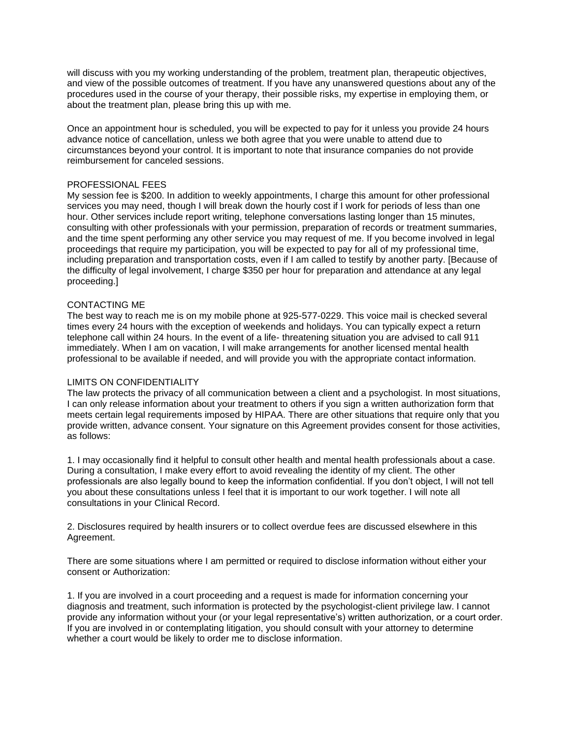will discuss with you my working understanding of the problem, treatment plan, therapeutic objectives, and view of the possible outcomes of treatment. If you have any unanswered questions about any of the procedures used in the course of your therapy, their possible risks, my expertise in employing them, or about the treatment plan, please bring this up with me.

Once an appointment hour is scheduled, you will be expected to pay for it unless you provide 24 hours advance notice of cancellation, unless we both agree that you were unable to attend due to circumstances beyond your control. It is important to note that insurance companies do not provide reimbursement for canceled sessions.

#### PROFESSIONAL FEES

My session fee is \$200. In addition to weekly appointments, I charge this amount for other professional services you may need, though I will break down the hourly cost if I work for periods of less than one hour. Other services include report writing, telephone conversations lasting longer than 15 minutes, consulting with other professionals with your permission, preparation of records or treatment summaries, and the time spent performing any other service you may request of me. If you become involved in legal proceedings that require my participation, you will be expected to pay for all of my professional time, including preparation and transportation costs, even if I am called to testify by another party. [Because of the difficulty of legal involvement, I charge \$350 per hour for preparation and attendance at any legal proceeding.]

#### CONTACTING ME

The best way to reach me is on my mobile phone at 925-577-0229. This voice mail is checked several times every 24 hours with the exception of weekends and holidays. You can typically expect a return telephone call within 24 hours. In the event of a life- threatening situation you are advised to call 911 immediately. When I am on vacation, I will make arrangements for another licensed mental health professional to be available if needed, and will provide you with the appropriate contact information.

## LIMITS ON CONFIDENTIALITY

The law protects the privacy of all communication between a client and a psychologist. In most situations, I can only release information about your treatment to others if you sign a written authorization form that meets certain legal requirements imposed by HIPAA. There are other situations that require only that you provide written, advance consent. Your signature on this Agreement provides consent for those activities, as follows:

1. I may occasionally find it helpful to consult other health and mental health professionals about a case. During a consultation, I make every effort to avoid revealing the identity of my client. The other professionals are also legally bound to keep the information confidential. If you don't object, I will not tell you about these consultations unless I feel that it is important to our work together. I will note all consultations in your Clinical Record.

2. Disclosures required by health insurers or to collect overdue fees are discussed elsewhere in this Agreement.

There are some situations where I am permitted or required to disclose information without either your consent or Authorization:

1. If you are involved in a court proceeding and a request is made for information concerning your diagnosis and treatment, such information is protected by the psychologist-client privilege law. I cannot provide any information without your (or your legal representative's) written authorization, or a court order. If you are involved in or contemplating litigation, you should consult with your attorney to determine whether a court would be likely to order me to disclose information.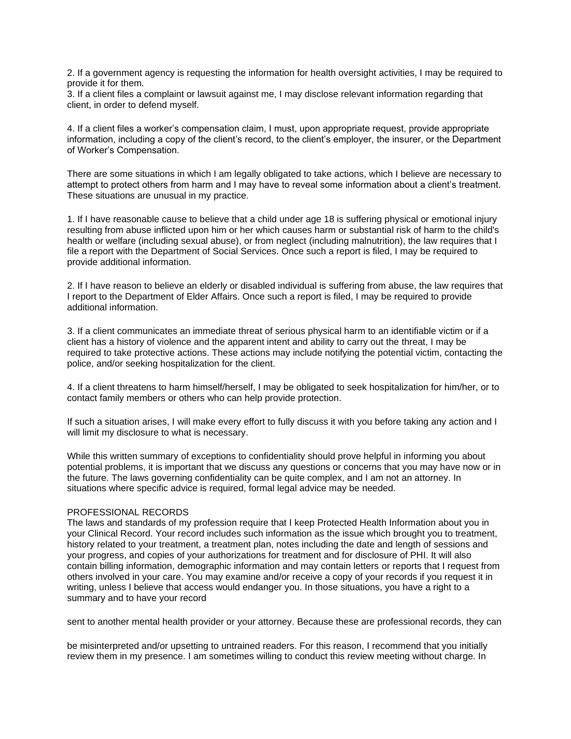2. If a government agency is requesting the information for health oversight activities, I may be required to provide it for them.

3. If a client files a complaint or lawsuit against me, I may disclose relevant information regarding that client, in order to defend myself.

4. If a client files a worker's compensation claim, I must, upon appropriate request, provide appropriate information, including a copy of the client's record, to the client's employer, the insurer, or the Department of Worker's Compensation.

There are some situations in which I am legally obligated to take actions, which I believe are necessary to attempt to protect others from harm and I may have to reveal some information about a client's treatment. These situations are unusual in my practice.

1. If I have reasonable cause to believe that a child under age 18 is suffering physical or emotional injury resulting from abuse inflicted upon him or her which causes harm or substantial risk of harm to the child's health or welfare (including sexual abuse), or from neglect (including malnutrition), the law requires that I file a report with the Department of Social Services. Once such a report is filed, I may be required to provide additional information.

2. If I have reason to believe an elderly or disabled individual is suffering from abuse, the law requires that I report to the Department of Elder Affairs. Once such a report is filed, I may be required to provide additional information.

3. If a client communicates an immediate threat of serious physical harm to an identifiable victim or if a client has a history of violence and the apparent intent and ability to carry out the threat, I may be required to take protective actions. These actions may include notifying the potential victim, contacting the police, and/or seeking hospitalization for the client.

4. If a client threatens to harm himself/herself, I may be obligated to seek hospitalization for him/her, or to contact family members or others who can help provide protection.

If such a situation arises, I will make every effort to fully discuss it with you before taking any action and I will limit my disclosure to what is necessary.

While this written summary of exceptions to confidentiality should prove helpful in informing you about potential problems, it is important that we discuss any questions or concerns that you may have now or in the future. The laws governing confidentiality can be quite complex, and I am not an attorney. In situations where specific advice is required, formal legal advice may be needed.

#### PROFESSIONAL RECORDS

The laws and standards of my profession require that I keep Protected Health Information about you in your Clinical Record. Your record includes such information as the issue which brought you to treatment, history related to your treatment, a treatment plan, notes including the date and length of sessions and your progress, and copies of your authorizations for treatment and for disclosure of PHI. It will also contain billing information, demographic information and may contain letters or reports that I request from others involved in your care. You may examine and/or receive a copy of your records if you request it in writing, unless I believe that access would endanger you. In those situations, you have a right to a summary and to have your record

sent to another mental health provider or your attorney. Because these are professional records, they can

be misinterpreted and/or upsetting to untrained readers. For this reason, I recommend that you initially review them in my presence. I am sometimes willing to conduct this review meeting without charge. In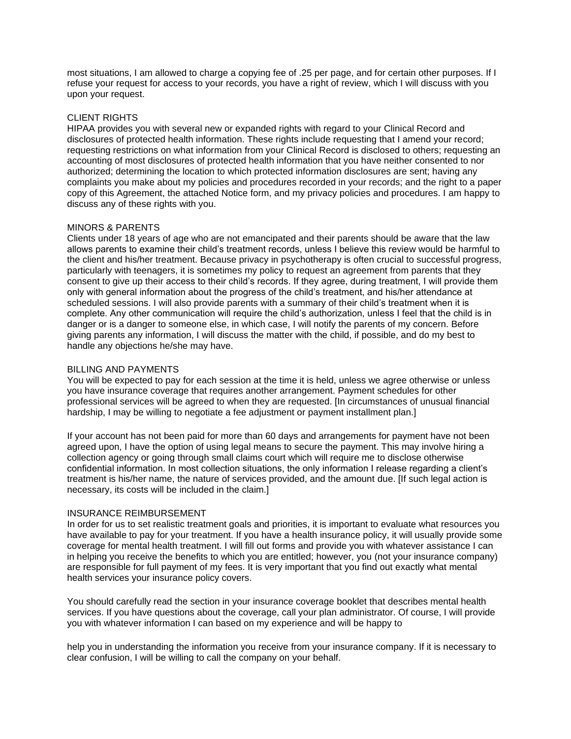most situations, I am allowed to charge a copying fee of .25 per page, and for certain other purposes. If I refuse your request for access to your records, you have a right of review, which I will discuss with you upon your request.

## CLIENT RIGHTS

HIPAA provides you with several new or expanded rights with regard to your Clinical Record and disclosures of protected health information. These rights include requesting that I amend your record; requesting restrictions on what information from your Clinical Record is disclosed to others; requesting an accounting of most disclosures of protected health information that you have neither consented to nor authorized; determining the location to which protected information disclosures are sent; having any complaints you make about my policies and procedures recorded in your records; and the right to a paper copy of this Agreement, the attached Notice form, and my privacy policies and procedures. I am happy to discuss any of these rights with you.

#### MINORS & PARENTS

Clients under 18 years of age who are not emancipated and their parents should be aware that the law allows parents to examine their child's treatment records, unless I believe this review would be harmful to the client and his/her treatment. Because privacy in psychotherapy is often crucial to successful progress, particularly with teenagers, it is sometimes my policy to request an agreement from parents that they consent to give up their access to their child's records. If they agree, during treatment, I will provide them only with general information about the progress of the child's treatment, and his/her attendance at scheduled sessions. I will also provide parents with a summary of their child's treatment when it is complete. Any other communication will require the child's authorization, unless I feel that the child is in danger or is a danger to someone else, in which case, I will notify the parents of my concern. Before giving parents any information, I will discuss the matter with the child, if possible, and do my best to handle any objections he/she may have.

### BILLING AND PAYMENTS

You will be expected to pay for each session at the time it is held, unless we agree otherwise or unless you have insurance coverage that requires another arrangement. Payment schedules for other professional services will be agreed to when they are requested. [In circumstances of unusual financial hardship, I may be willing to negotiate a fee adjustment or payment installment plan.]

If your account has not been paid for more than 60 days and arrangements for payment have not been agreed upon, I have the option of using legal means to secure the payment. This may involve hiring a collection agency or going through small claims court which will require me to disclose otherwise confidential information. In most collection situations, the only information I release regarding a client's treatment is his/her name, the nature of services provided, and the amount due. [If such legal action is necessary, its costs will be included in the claim.]

#### INSURANCE REIMBURSEMENT

In order for us to set realistic treatment goals and priorities, it is important to evaluate what resources you have available to pay for your treatment. If you have a health insurance policy, it will usually provide some coverage for mental health treatment. I will fill out forms and provide you with whatever assistance I can in helping you receive the benefits to which you are entitled; however, you (not your insurance company) are responsible for full payment of my fees. It is very important that you find out exactly what mental health services your insurance policy covers.

You should carefully read the section in your insurance coverage booklet that describes mental health services. If you have questions about the coverage, call your plan administrator. Of course, I will provide you with whatever information I can based on my experience and will be happy to

help you in understanding the information you receive from your insurance company. If it is necessary to clear confusion, I will be willing to call the company on your behalf.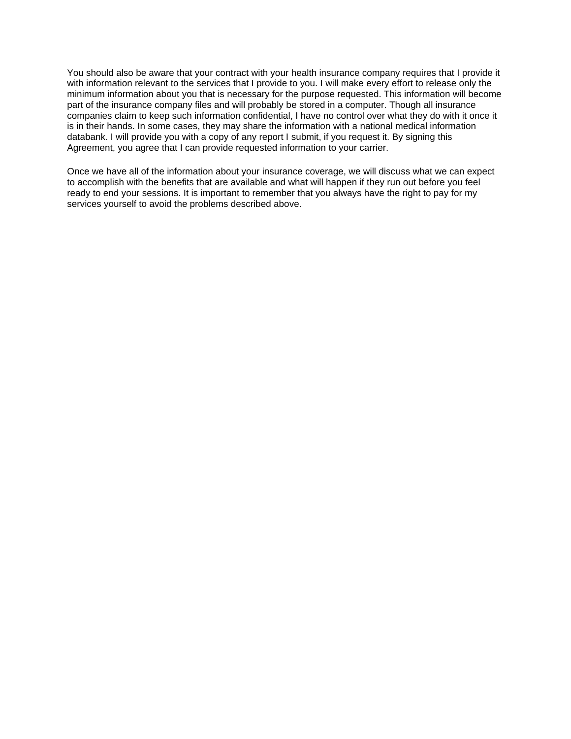You should also be aware that your contract with your health insurance company requires that I provide it with information relevant to the services that I provide to you. I will make every effort to release only the minimum information about you that is necessary for the purpose requested. This information will become part of the insurance company files and will probably be stored in a computer. Though all insurance companies claim to keep such information confidential, I have no control over what they do with it once it is in their hands. In some cases, they may share the information with a national medical information databank. I will provide you with a copy of any report I submit, if you request it. By signing this Agreement, you agree that I can provide requested information to your carrier.

Once we have all of the information about your insurance coverage, we will discuss what we can expect to accomplish with the benefits that are available and what will happen if they run out before you feel ready to end your sessions. It is important to remember that you always have the right to pay for my services yourself to avoid the problems described above.